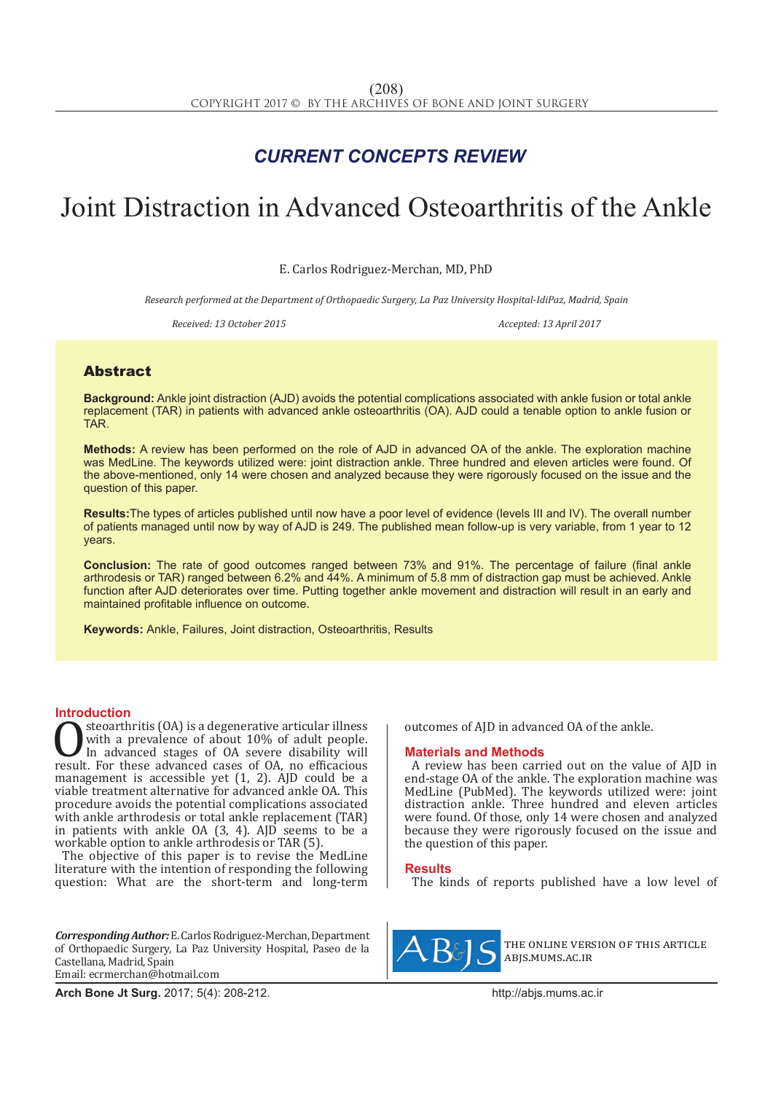## *CURRENT CONCEPTS REVIEW*

# Joint Distraction in Advanced Osteoarthritis of the Ankle

E. Carlos Rodriguez-Merchan, MD, PhD

*Research performed at the Department of Orthopaedic Surgery, La Paz University Hospital-IdiPaz, Madrid, Spain*

*Received: 13 October 2015 Accepted: 13 April 2017*

### Abstract

**Background:** Ankle joint distraction (AJD) avoids the potential complications associated with ankle fusion or total ankle replacement (TAR) in patients with advanced ankle osteoarthritis (OA). AJD could a tenable option to ankle fusion or TAR.

**Methods:** A review has been performed on the role of AJD in advanced OA of the ankle. The exploration machine was MedLine. The keywords utilized were: joint distraction ankle. Three hundred and eleven articles were found. Of the above-mentioned, only 14 were chosen and analyzed because they were rigorously focused on the issue and the question of this paper.

**Results:**The types of articles published until now have a poor level of evidence (levels III and IV). The overall number of patients managed until now by way of AJD is 249. The published mean follow-up is very variable, from 1 year to 12 years.

**Conclusion:** The rate of good outcomes ranged between 73% and 91%. The percentage of failure (final ankle arthrodesis or TAR) ranged between 6.2% and 44%. A minimum of 5.8 mm of distraction gap must be achieved. Ankle function after AJD deteriorates over time. Putting together ankle movement and distraction will result in an early and maintained profitable influence on outcome.

**Keywords:** Ankle, Failures, Joint distraction, Osteoarthritis, Results

**Introduction**<br>steoarthritis (OA) is a degenerative articular illness **OSECULTE SECULTE:** (OA) is a degenerative articular illness<br>with a prevalence of about 10% of adult people.<br>In advanced stages of OA severe disability will<br>result. For these advanced cases of OA, no efficacious<br>management with a prevalence of about 10% of adult people. In advanced stages of OA severe disability will management is accessible yet (1, 2). AJD could be a viable treatment alternative for advanced ankle OA. This procedure avoids the potential complications associated with ankle arthrodesis or total ankle replacement (TAR) in patients with ankle OA  $(3, 4)$ . AJD seems to be a workable option to ankle arthrodesis or TAR (5).

The objective of this paper is to revise the MedLine literature with the intention of responding the following question: What are the short-term and long-term

*Corresponding Author:* E. Carlos Rodriguez-Merchan, Department of Orthopaedic Surgery, La Paz University Hospital, Paseo de la Castellana, Madrid, Spain Email: ecrmerchan@hotmail.com

outcomes of AJD in advanced OA of the ankle.

#### **Materials and Methods**

A review has been carried out on the value of AJD in end-stage OA of the ankle. The exploration machine was MedLine (PubMed). The keywords utilized were: joint distraction ankle. Three hundred and eleven articles were found. Of those, only 14 were chosen and analyzed because they were rigorously focused on the issue and the question of this paper.

#### **Results**

The kinds of reports published have a low level of



the online version of this article abjs.mums.ac.ir

**Arch Bone Jt Surg.** 2017; 5(4): 208-212.http://abjs.mums.ac.ir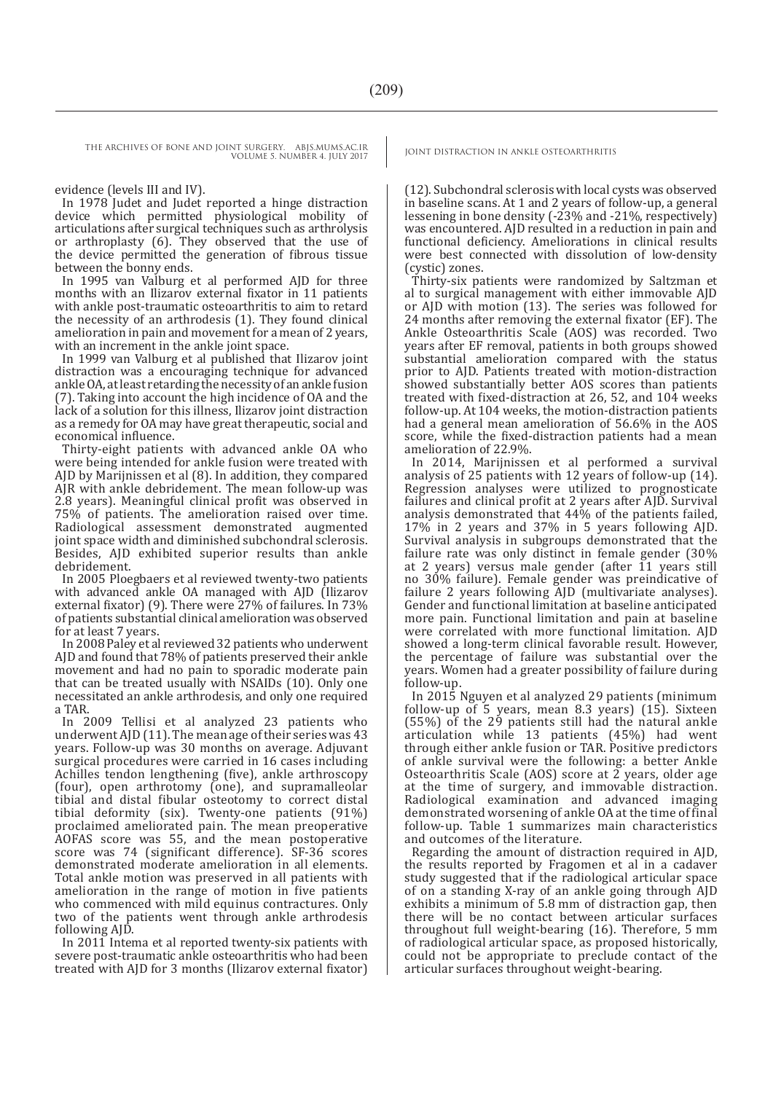THE ARCHIVES OF BONE AND JOINT SURGERY. ABJS.MUMS.AC.IR | JOINT DISTRACTION IN ANKLE OSTEOARTHRITIS VOLUME 5. NUMBER 4. JULY 2017

evidence (levels III and IV).

In 1978 Judet and Judet reported a hinge distraction device which permitted physiological mobility of articulations after surgical techniques such as arthrolysis or arthroplasty (6). They observed that the use of the device permitted the generation of fibrous tissue between the bonny ends.

In 1995 van Valburg et al performed AJD for three months with an Ilizarov external fixator in 11 patients with ankle post-traumatic osteoarthritis to aim to retard the necessity of an arthrodesis (1). They found clinical amelioration in pain and movement for a mean of 2 years, with an increment in the ankle joint space.

In 1999 van Valburg et al published that Ilizarov joint distraction was a encouraging technique for advanced ankle OA, at least retarding the necessity of an ankle fusion (7). Taking into account the high incidence of OA and the lack of a solution for this illness, Ilizarov joint distraction as a remedy for OA may have great therapeutic, social and economical influence.

Thirty-eight patients with advanced ankle OA who were being intended for ankle fusion were treated with AJD by Marijnissen et al (8). In addition, they compared AJR with ankle debridement. The mean follow-up was 2.8 years). Meaningful clinical profit was observed in 75% of patients. The amelioration raised over time. Radiological assessment demonstrated augmented joint space width and diminished subchondral sclerosis. Besides, AJD exhibited superior results than ankle debridement.

In 2005 Ploegbaers et al reviewed twenty-two patients with advanced ankle OA managed with AJD (Ilizarov external fixator) (9). There were 27% of failures. In 73% of patients substantial clinical amelioration was observed for at least 7 years.

In 2008 Paley et al reviewed 32 patients who underwent AJD and found that 78% of patients preserved their ankle movement and had no pain to sporadic moderate pain that can be treated usually with NSAIDs (10). Only one necessitated an ankle arthrodesis, and only one required a TAR.

In 2009 Tellisi et al analyzed 23 patients who underwent AJD (11). The mean age of their series was 43 years. Follow-up was 30 months on average. Adjuvant surgical procedures were carried in 16 cases including Achilles tendon lengthening (five), ankle arthroscopy (four), open arthrotomy (one), and supramalleolar tibial and distal fibular osteotomy to correct distal tibial deformity (six). Twenty-one patients (91%) proclaimed ameliorated pain. The mean preoperative AOFAS score was 55, and the mean postoperative score was 74 (significant difference). SF-36 scores demonstrated moderate amelioration in all elements. Total ankle motion was preserved in all patients with amelioration in the range of motion in five patients who commenced with mild equinus contractures. Only two of the patients went through ankle arthrodesis following AJD.

In 2011 Intema et al reported twenty-six patients with severe post-traumatic ankle osteoarthritis who had been treated with AJD for 3 months (Ilizarov external fixator)

(12). Subchondral sclerosis with local cysts was observed in baseline scans. At 1 and 2 years of follow-up, a general lessening in bone density (-23% and -21%, respectively) was encountered. AJD resulted in a reduction in pain and functional deficiency. Ameliorations in clinical results were best connected with dissolution of low-density (cystic) zones.

Thirty-six patients were randomized by Saltzman et al to surgical management with either immovable AJD or AJD with motion (13). The series was followed for 24 months after removing the external fixator (EF). The Ankle Osteoarthritis Scale (AOS) was recorded. Two years after EF removal, patients in both groups showed substantial amelioration compared with the status prior to AJD. Patients treated with motion-distraction showed substantially better AOS scores than patients treated with fixed-distraction at 26, 52, and 104 weeks follow-up. At 104 weeks, the motion-distraction patients had a general mean amelioration of 56.6% in the AOS score, while the fixed-distraction patients had a mean amelioration of 22.9%.

In 2014, Marijnissen et al performed a survival analysis of 25 patients with 12 years of follow-up (14). Regression analyses were utilized to prognosticate failures and clinical profit at 2 years after AJD. Survival analysis demonstrated that 44% of the patients failed, 17% in 2 years and 37% in 5 years following AJD. Survival analysis in subgroups demonstrated that the failure rate was only distinct in female gender (30% at 2 years) versus male gender (after 11 years still no 30% failure). Female gender was preindicative of failure 2 years following AJD (multivariate analyses). Gender and functional limitation at baseline anticipated more pain. Functional limitation and pain at baseline were correlated with more functional limitation. AJD showed a long-term clinical favorable result. However, the percentage of failure was substantial over the years. Women had a greater possibility of failure during follow-up.

In 2015 Nguyen et al analyzed 29 patients (minimum follow-up of 5 years, mean 8.3 years) (15). Sixteen (55%) of the 29 patients still had the natural ankle articulation while 13 patients (45%) had went through either ankle fusion or TAR. Positive predictors of ankle survival were the following: a better Ankle Osteoarthritis Scale (AOS) score at 2 years, older age at the time of surgery, and immovable distraction. Radiological examination and advanced imaging demonstrated worsening of ankle OA at the time of final follow-up. Table 1 summarizes main characteristics and outcomes of the literature.

Regarding the amount of distraction required in AJD, the results reported by Fragomen et al in a cadaver study suggested that if the radiological articular space of on a standing X-ray of an ankle going through AJD exhibits a minimum of 5.8 mm of distraction gap, then there will be no contact between articular surfaces throughout full weight-bearing (16). Therefore, 5 mm of radiological articular space, as proposed historically, could not be appropriate to preclude contact of the articular surfaces throughout weight-bearing.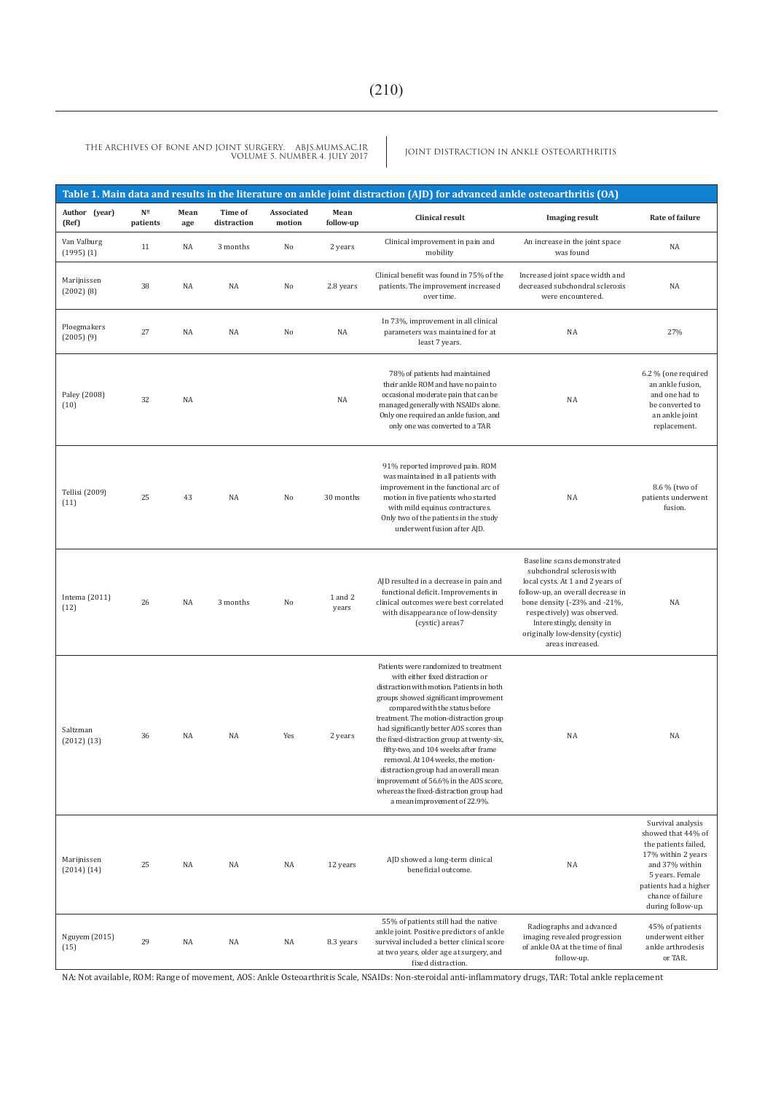JOINT DISTRACTION IN ANKLE OSTEOARTHRITIS THE ARCHIVES OF BONE AND JOINT SURGERY. ABJS.MUMS.AC.IR VOLUME 5. NUMBER 4. JULY 2017

| Table 1. Main data and results in the literature on ankle joint distraction (AJD) for advanced ankle osteoarthritis (OA) |                                     |             |                        |                      |                   |                                                                                                                                                                                                                                                                                                                                                                                                                                                                                                                                                                                     |                                                                                                                                                                                                                                                                                       |                                                                                                                                                                                               |
|--------------------------------------------------------------------------------------------------------------------------|-------------------------------------|-------------|------------------------|----------------------|-------------------|-------------------------------------------------------------------------------------------------------------------------------------------------------------------------------------------------------------------------------------------------------------------------------------------------------------------------------------------------------------------------------------------------------------------------------------------------------------------------------------------------------------------------------------------------------------------------------------|---------------------------------------------------------------------------------------------------------------------------------------------------------------------------------------------------------------------------------------------------------------------------------------|-----------------------------------------------------------------------------------------------------------------------------------------------------------------------------------------------|
| Author (year)<br>(Ref)                                                                                                   | $\mathbf{N}^\mathbf{0}$<br>patients | Mean<br>age | Time of<br>distraction | Associated<br>motion | Mean<br>follow-up | <b>Clinical result</b>                                                                                                                                                                                                                                                                                                                                                                                                                                                                                                                                                              | <b>Imaging result</b>                                                                                                                                                                                                                                                                 | Rate of failure                                                                                                                                                                               |
| Van Valburg<br>$(1995)$ $(1)$                                                                                            | 11                                  | NA          | 3 months               | No                   | 2 years           | Clinical improvement in pain and<br>mobility                                                                                                                                                                                                                                                                                                                                                                                                                                                                                                                                        | An increase in the joint space<br>was found                                                                                                                                                                                                                                           | NA                                                                                                                                                                                            |
| Marijnissen<br>$(2002)$ $(8)$                                                                                            | 38                                  | NA          | NA                     | No                   | 2.8 years         | Clinical benefit was found in 75% of the<br>patients. The improvement increased<br>over time.                                                                                                                                                                                                                                                                                                                                                                                                                                                                                       | Increased joint space width and<br>decreased subchondral sclerosis<br>were encountered.                                                                                                                                                                                               | NA                                                                                                                                                                                            |
| Ploegmakers<br>$(2005)$ $(9)$                                                                                            | 27                                  | NA          | NA                     | No                   | NA                | In 73%, improvement in all clinical<br>parameters was maintained for at<br>least 7 years.                                                                                                                                                                                                                                                                                                                                                                                                                                                                                           | NA                                                                                                                                                                                                                                                                                    | 27%                                                                                                                                                                                           |
| Paley (2008)<br>(10)                                                                                                     | 32                                  | NA          |                        |                      | NA                | 78% of patients had maintained<br>their ankle ROM and have no pain to<br>occasional moderate pain that can be<br>managed generally with NSAIDs alone.<br>Only one required an ankle fusion, and<br>only one was converted to a TAR                                                                                                                                                                                                                                                                                                                                                  | NA                                                                                                                                                                                                                                                                                    | 6.2 % (one required<br>an ankle fusion,<br>and one had to<br>be converted to<br>an ankle joint<br>replacement.                                                                                |
| Tellisi (2009)<br>(11)                                                                                                   | 25                                  | 43          | NA                     | No                   | 30 months         | 91% reported improved pain. ROM<br>was maintained in all patients with<br>improvement in the functional arc of<br>motion in five patients who started<br>with mild equinus contractures.<br>Only two of the patients in the study<br>underwent fusion after AJD.                                                                                                                                                                                                                                                                                                                    | NA                                                                                                                                                                                                                                                                                    | 8.6 % (two of<br>patients underwent<br>fusion.                                                                                                                                                |
| Intema $(2011)$<br>(12)                                                                                                  | 26                                  | NA          | 3 months               | No                   | 1 and 2<br>years  | AJD resulted in a decrease in pain and<br>functional deficit. Improvements in<br>clinical outcomes were best correlated<br>with disappearance of low-density<br>(cystic) areas7                                                                                                                                                                                                                                                                                                                                                                                                     | Baseline scans demonstrated<br>subchondral sclerosis with<br>local cysts. At 1 and 2 years of<br>follow-up, an overall decrease in<br>bone density (-23% and -21%,<br>respectively) was observed.<br>Interestingly, density in<br>originally low-density (cystic)<br>areas increased. | NA                                                                                                                                                                                            |
| Saltzman<br>(2012)(13)                                                                                                   | 36                                  | NA          | NA                     | Yes                  | 2 years           | Patients were randomized to treatment<br>with either fixed distraction or<br>distraction with motion. Patients in both<br>groups showed significant improvement<br>compared with the status before<br>treatment. The motion-distraction group<br>had significantly better AOS scores than<br>the fixed-distraction group at twenty-six,<br>fifty-two, and 104 weeks after frame<br>removal. At 104 weeks, the motion-<br>distraction group had an overall mean<br>improvement of 56.6% in the AOS score,<br>whereas the fixed-distraction group had<br>a mean improvement of 22.9%. | NA                                                                                                                                                                                                                                                                                    | NA                                                                                                                                                                                            |
| Marijnissen<br>(2014) (14)                                                                                               | 25                                  | NA          | NA                     | NA                   | 12 years          | AJD showed a long-term clinical<br>beneficial outcome.                                                                                                                                                                                                                                                                                                                                                                                                                                                                                                                              | NA                                                                                                                                                                                                                                                                                    | Survival analysis<br>showed that 44% of<br>the patients failed,<br>17% within 2 years<br>and 37% within<br>5 years. Female<br>patients had a higher<br>chance of failure<br>during follow-up. |
| Nguyem (2015)<br>(15)                                                                                                    | 29                                  | NA          | NA                     | NA                   | 8.3 years         | 55% of patients still had the native<br>ankle joint. Positive predictors of ankle<br>survival included a better clinical score<br>at two years, older age at surgery, and<br>fixed distraction.                                                                                                                                                                                                                                                                                                                                                                                     | Radiographs and advanced<br>imaging revealed progression<br>of ankle OA at the time of final<br>follow-up.                                                                                                                                                                            | 45% of patients<br>underwent either<br>ankle arthrodesis<br>or TAR.                                                                                                                           |

NA: Not available, ROM: Range of movement, AOS: Ankle Osteoarthritis Scale, NSAIDs: Non-steroidal anti-inflammatory drugs, TAR: Total ankle replacement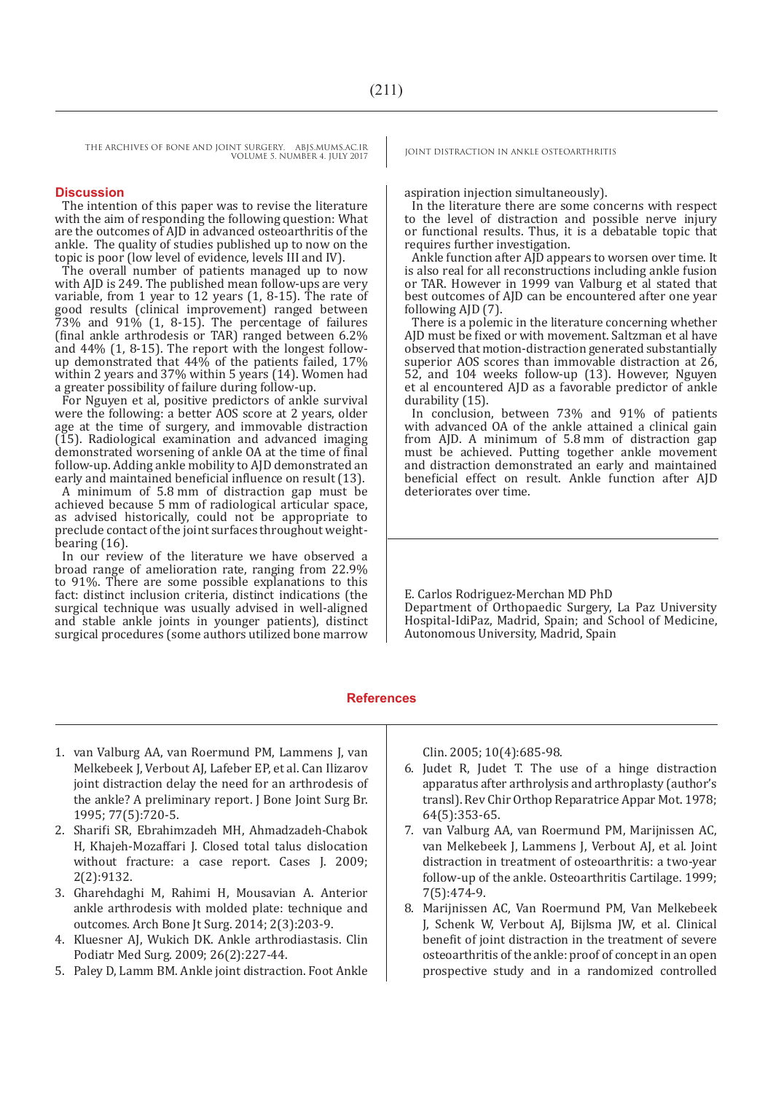THE ARCHIVES OF BONE AND JOINT SURGERY. ABJS.MUMS.AC.IR | JOINT DISTRACTION IN ANKLE OSTEOARTHRITIS VOLUME 5. NUMBER 4. JULY 2017

#### **Discussion**

The intention of this paper was to revise the literature with the aim of responding the following question: What are the outcomes of AJD in advanced osteoarthritis of the ankle. The quality of studies published up to now on the topic is poor (low level of evidence, levels III and IV).

The overall number of patients managed up to now with AJD is 249. The published mean follow-ups are very variable, from 1 year to 12 years (1, 8-15). The rate of good results (clinical improvement) ranged between  $73\%$  and  $91\%$  (1, 8-15). The percentage of failures (final ankle arthrodesis or TAR) ranged between 6.2% and 44% (1, 8-15). The report with the longest followup demonstrated that 44% of the patients failed, 17% within 2 years and 37% within 5 years (14). Women had a greater possibility of failure during follow-up.

For Nguyen et al, positive predictors of ankle survival were the following: a better AOS score at 2 years, older age at the time of surgery, and immovable distraction (15). Radiological examination and advanced imaging demonstrated worsening of ankle OA at the time of final follow-up. Adding ankle mobility to AJD demonstrated an early and maintained beneficial influence on result (13).

A minimum of 5.8 mm of distraction gap must be achieved because 5 mm of radiological articular space, as advised historically, could not be appropriate to preclude contact of the joint surfaces throughout weightbearing (16).

In our review of the literature we have observed a broad range of amelioration rate, ranging from 22.9% to 91%. There are some possible explanations to this fact: distinct inclusion criteria, distinct indications (the surgical technique was usually advised in well-aligned and stable ankle joints in younger patients), distinct surgical procedures (some authors utilized bone marrow

aspiration injection simultaneously).

In the literature there are some concerns with respect to the level of distraction and possible nerve injury or functional results. Thus, it is a debatable topic that requires further investigation.

Ankle function after AJD appears to worsen over time. It is also real for all reconstructions including ankle fusion or TAR. However in 1999 van Valburg et al stated that best outcomes of AJD can be encountered after one year following AID (7).

There is a polemic in the literature concerning whether AJD must be fixed or with movement. Saltzman et al have observed that motion-distraction generated substantially superior AOS scores than immovable distraction at 26, 52, and 104 weeks follow-up (13). However, Nguyen et al encountered AJD as a favorable predictor of ankle durability (15).

In conclusion, between 73% and 91% of patients with advanced OA of the ankle attained a clinical gain from AJD. A minimum of 5.8 mm of distraction gap must be achieved. Putting together ankle movement and distraction demonstrated an early and maintained beneficial effect on result. Ankle function after AJD deteriorates over time.

E. Carlos Rodriguez-Merchan MD PhD Department of Orthopaedic Surgery, La Paz University Hospital-IdiPaz, Madrid, Spain; and School of Medicine, Autonomous University, Madrid, Spain

#### **References**

- 1. van Valburg AA, van Roermund PM, Lammens J, van Melkebeek J, Verbout AJ, Lafeber EP, et al. Can Ilizarov joint distraction delay the need for an arthrodesis of the ankle? A preliminary report. J Bone Joint Surg Br. 1995; 77(5):720-5.
- 2. Sharifi SR, Ebrahimzadeh MH, Ahmadzadeh-Chabok H, Khajeh-Mozaffari J. Closed total talus dislocation without fracture: a case report. Cases J. 2009; 2(2):9132.
- 3. Gharehdaghi M, Rahimi H, Mousavian A. Anterior ankle arthrodesis with molded plate: technique and outcomes. Arch Bone Jt Surg. 2014; 2(3):203-9.
- 4. Kluesner AJ, Wukich DK. Ankle arthrodiastasis. Clin Podiatr Med Surg. 2009; 26(2):227-44.
- 5. Paley D, Lamm BM. Ankle joint distraction. Foot Ankle

Clin. 2005; 10(4):685-98.

- 6. Judet R, Judet T. The use of a hinge distraction apparatus after arthrolysis and arthroplasty (author's transl). Rev Chir Orthop Reparatrice Appar Mot. 1978; 64(5):353-65.
- 7. van Valburg AA, van Roermund PM, Marijnissen AC, van Melkebeek J, Lammens J, Verbout AJ, et al. Joint distraction in treatment of osteoarthritis: a two-year follow-up of the ankle. Osteoarthritis Cartilage. 1999; 7(5):474-9.
- 8. Marijnissen AC, Van Roermund PM, Van Melkebeek J, Schenk W, Verbout AJ, Bijlsma JW, et al. Clinical benefit of joint distraction in the treatment of severe osteoarthritis of the ankle: proof of concept in an open prospective study and in a randomized controlled